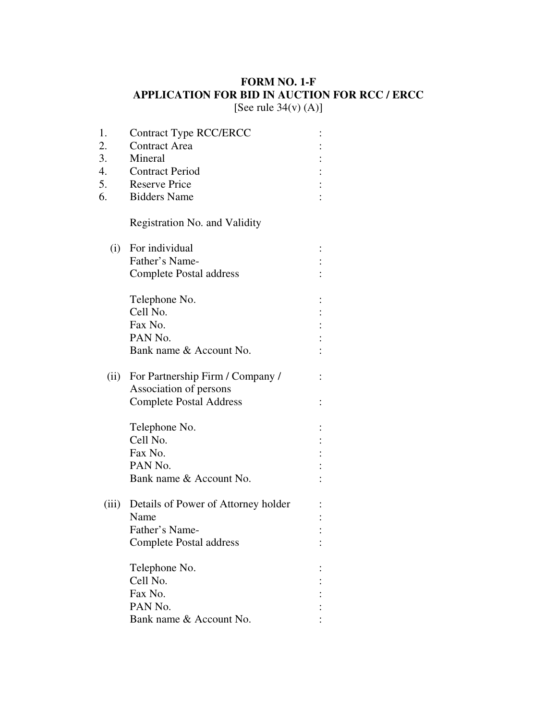## **FORM NO. 1-F APPLICATION FOR BID IN AUCTION FOR RCC / ERCC**

[See rule  $34(v)$  (A)]

| 1.    | <b>Contract Type RCC/ERCC</b>       |  |
|-------|-------------------------------------|--|
| 2.    | <b>Contract Area</b>                |  |
| 3.    | Mineral                             |  |
| 4.    | <b>Contract Period</b>              |  |
| 5.    | <b>Reserve Price</b>                |  |
| 6.    | <b>Bidders Name</b>                 |  |
|       | Registration No. and Validity       |  |
| (i)   | For individual                      |  |
|       | Father's Name-                      |  |
|       | <b>Complete Postal address</b>      |  |
|       | Telephone No.                       |  |
|       | Cell No.                            |  |
|       | Fax No.                             |  |
|       | PAN No.                             |  |
|       | Bank name & Account No.             |  |
| (ii)  | For Partnership Firm / Company /    |  |
|       | Association of persons              |  |
|       | <b>Complete Postal Address</b>      |  |
|       | Telephone No.                       |  |
|       | Cell No.                            |  |
|       | Fax No.                             |  |
|       | PAN <sub>No.</sub>                  |  |
|       | Bank name & Account No.             |  |
| (iii) | Details of Power of Attorney holder |  |
|       | Name                                |  |
|       | Father's Name-                      |  |
|       | <b>Complete Postal address</b>      |  |
|       | Telephone No.                       |  |
|       | Cell No.                            |  |
|       | Fax No.                             |  |
|       | PAN No.                             |  |
|       | Bank name & Account No.             |  |